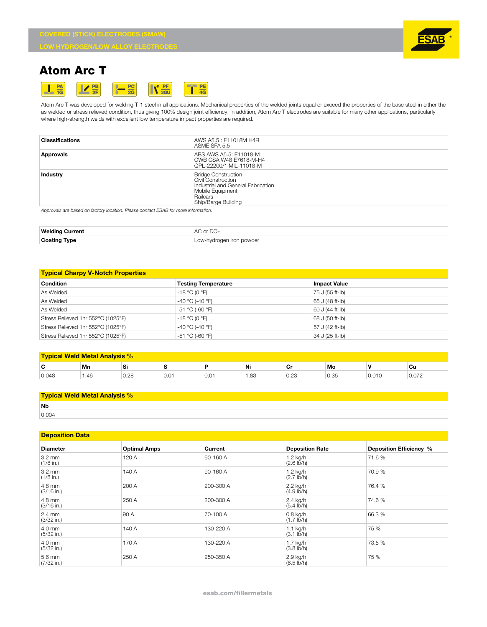

# **Atom Arc T**



Atom Arc T was developed for welding T-1 steel in all applications. Mechanical properties of the welded joints equal or exceed the properties of the base steel in either the as welded or stress relieved condition, thus giving 100% design joint efficiency. In addition, Atom Arc T electrodes are suitable for many other applications, particularly where high-strength welds with excellent low temperature impact properties are required.

| <b>Classifications</b> | AWS A5.5 : E11018M H4R<br>ASME SFA 5.5                                                                                                        |
|------------------------|-----------------------------------------------------------------------------------------------------------------------------------------------|
| Approvals              | ABS AWS A5.5: E11018-M<br>CWB CSA W48 E7618-M-H4<br>QPL-22200/1 MIL-11018-M                                                                   |
| Industry               | <b>Bridge Construction</b><br>Civil Construction<br>Industrial and General Fabrication<br>Mobile Equipment<br>Railcars<br>Ship/Barge Building |

*Approvals are based on factory location. Please contact ESAB for more information.*

| Welding             | $\sim$    |
|---------------------|-----------|
| Current             | $\sim$    |
|                     | $\Delta$  |
| <b>Coating Type</b> | vde<br>-- |

## **Typical Charpy V-Notch Properties**

| <b>Condition</b>                   | <b>Testing Temperature</b> | <b>Impact Value</b> |
|------------------------------------|----------------------------|---------------------|
|                                    |                            |                     |
| As Welded                          | $-18 °C (0 °F)$            | 75 J (55 ft-lb)     |
| As Welded                          | $-40$ °C (-40 °F)          | 65 J (48 ft-lb)     |
| As Welded                          | $-51 °C (-60 °F)$          | 60 J (44 ft-lb)     |
| Stress Relieved 1hr 552°C (1025°F) | $-18 °C (0 °F)$            | 68 J (50 ft-lb)     |
| Stress Relieved 1hr 552°C (1025°F) | $-40$ °C (-40 °F)          | 57 J (42 ft-lb)     |
| Stress Relieved 1hr 552°C (1025°F) | $-51 °C (-60 °F)$          | 34 J (25 ft-lb)     |

| <b>Typical Weld Metal Analysis %</b> |      |          |     |               |      |      |                |       |       |
|--------------------------------------|------|----------|-----|---------------|------|------|----------------|-------|-------|
| $\ddot{\phantom{1}}$<br>v            | Mn   | <b>O</b> |     |               | Ni   | vı   | Mo             |       | Cu    |
| 0.048                                | 1.46 | 0.28     | v.v | $\sim$<br>v.v | 1.83 | 0.23 | $\sim$<br>U.35 | 0.010 | 0.072 |

#### **Typical Weld Metal Analysis %**

| <b>Nb</b>               |  |
|-------------------------|--|
| $\cap$ $\cap \triangle$ |  |

## **Deposition Data**

| <b>Diameter</b>                  | <b>Optimal Amps</b> | Current   | <b>Deposition Rate</b>             | Deposition Efficiency % |
|----------------------------------|---------------------|-----------|------------------------------------|-------------------------|
| $3.2 \text{ mm}$<br>$(1/8$ in.)  | 120 A               | 90-160 A  | $1.2$ kg/h<br>$(2.6 \text{ lb/h})$ | 71.6%                   |
| $3.2 \text{ mm}$<br>$(1/8$ in.)  | 140 A               | 90-160 A  | 1.2 kg/h<br>$(2.7 \text{ lb/h})$   | 70.9%                   |
| 4.8 mm<br>$(3/16$ in.)           | 200 A               | 200-300 A | 2.2 kg/h<br>(4.9 Ib/h)             | 76.4 %                  |
| 4.8 mm<br>$(3/16$ in.)           | 250 A               | 200-300 A | 2.4 kg/h<br>$(5.4 \, \text{lb/h})$ | 74.6%                   |
| $2.4 \text{ mm}$<br>$(3/32$ in.) | 90 A                | 70-100 A  | $0.8$ kg/h<br>$(1.7 \text{ lb/h})$ | 66.3 %                  |
| 4.0 mm<br>$(5/32$ in.)           | 140 A               | 130-220 A | $1.1$ kg/h<br>$(3.1 \text{ lb/h})$ | 75 %                    |
| 4.0 mm<br>$(5/32$ in.)           | 170 A               | 130-220 A | 1.7 kg/h<br>$(3.8 \, \text{lb/h})$ | 73.5 %                  |
| 5.6 mm<br>$(7/32$ in.)           | 250 A               | 250-350 A | 2.9 kg/h<br>$(6.5 \text{ lb/h})$   | 75 %                    |